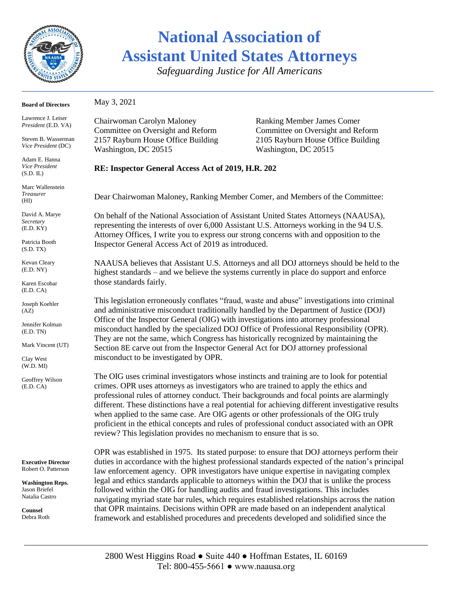

## **National Association of Assistant United States Attorneys**

*Safeguarding Justice for All Americans*

| <b>Board of Directors</b>                                                                                      | May 3, 2021                                                                                                                                                                                                                                                                                                                                                                                                                                                                                                                                                                                                                                         |                                                                        |
|----------------------------------------------------------------------------------------------------------------|-----------------------------------------------------------------------------------------------------------------------------------------------------------------------------------------------------------------------------------------------------------------------------------------------------------------------------------------------------------------------------------------------------------------------------------------------------------------------------------------------------------------------------------------------------------------------------------------------------------------------------------------------------|------------------------------------------------------------------------|
| Lawrence J. Leiser<br>President (E.D. VA)                                                                      | Chairwoman Carolyn Maloney<br>Committee on Oversight and Reform                                                                                                                                                                                                                                                                                                                                                                                                                                                                                                                                                                                     | <b>Ranking Member James Comer</b><br>Committee on Oversight and Reform |
| Steven B. Wasserman<br>Vice President (DC)                                                                     | 2157 Rayburn House Office Building<br>Washington, DC 20515                                                                                                                                                                                                                                                                                                                                                                                                                                                                                                                                                                                          | 2105 Rayburn House Office Building<br>Washington, DC 20515             |
| Adam E. Hanna<br>Vice President<br>(S.D. IL)                                                                   | RE: Inspector General Access Act of 2019, H.R. 202                                                                                                                                                                                                                                                                                                                                                                                                                                                                                                                                                                                                  |                                                                        |
| Marc Wallenstein<br><b>Treasurer</b><br>(HI)                                                                   | Dear Chairwoman Maloney, Ranking Member Comer, and Members of the Committee:                                                                                                                                                                                                                                                                                                                                                                                                                                                                                                                                                                        |                                                                        |
| David A. Marye<br>Secretary<br>(E.D. KY)                                                                       | On behalf of the National Association of Assistant United States Attorneys (NAAUSA),<br>representing the interests of over 6,000 Assistant U.S. Attorneys working in the 94 U.S.<br>Attorney Offices, I write you to express our strong concerns with and opposition to the                                                                                                                                                                                                                                                                                                                                                                         |                                                                        |
| Patricia Booth<br>(S.D. TX)                                                                                    | Inspector General Access Act of 2019 as introduced.                                                                                                                                                                                                                                                                                                                                                                                                                                                                                                                                                                                                 |                                                                        |
| Kevan Cleary<br>(E.D. NY)                                                                                      | NAAUSA believes that Assistant U.S. Attorneys and all DOJ attorneys should be held to the<br>highest standards - and we believe the systems currently in place do support and enforce                                                                                                                                                                                                                                                                                                                                                                                                                                                               |                                                                        |
| Karen Escobar<br>(E.D. CA)                                                                                     | those standards fairly.                                                                                                                                                                                                                                                                                                                                                                                                                                                                                                                                                                                                                             |                                                                        |
| Joseph Koehler<br>(AZ)                                                                                         | This legislation erroneously conflates "fraud, waste and abuse" investigations into criminal<br>and administrative misconduct traditionally handled by the Department of Justice (DOJ)                                                                                                                                                                                                                                                                                                                                                                                                                                                              |                                                                        |
| Jennifer Kolman<br>(E.D. TN)                                                                                   | Office of the Inspector General (OIG) with investigations into attorney professional<br>misconduct handled by the specialized DOJ Office of Professional Responsibility (OPR).<br>They are not the same, which Congress has historically recognized by maintaining the                                                                                                                                                                                                                                                                                                                                                                              |                                                                        |
| Mark Vincent (UT)                                                                                              | Section 8E carve out from the Inspector General Act for DOJ attorney professional<br>misconduct to be investigated by OPR.                                                                                                                                                                                                                                                                                                                                                                                                                                                                                                                          |                                                                        |
| Clay West<br>(W.D. MI)                                                                                         |                                                                                                                                                                                                                                                                                                                                                                                                                                                                                                                                                                                                                                                     |                                                                        |
| Geoffrey Wilson<br>(E.D. CA)                                                                                   | The OIG uses criminal investigators whose instincts and training are to look for potential<br>crimes. OPR uses attorneys as investigators who are trained to apply the ethics and<br>professional rules of attorney conduct. Their backgrounds and focal points are alarmingly<br>different. These distinctions have a real potential for achieving different investigative results<br>when applied to the same case. Are OIG agents or other professionals of the OIG truly<br>proficient in the ethical concepts and rules of professional conduct associated with an OPR<br>review? This legislation provides no mechanism to ensure that is so. |                                                                        |
| <b>Executive Director</b><br>Robert O. Patterson<br><b>Washington Reps.</b><br>Jason Briefel<br>Natalia Castro | OPR was established in 1975. Its stated purpose: to ensure that DOJ attorneys perform their<br>duties in accordance with the highest professional standards expected of the nation's principal<br>law enforcement agency. OPR investigators have unique expertise in navigating complex<br>legal and ethics standards applicable to attorneys within the DOJ that is unlike the process<br>followed within the OIG for handling audits and fraud investigations. This includes                                                                                                                                                                      |                                                                        |
| Counsel                                                                                                        | navigating myriad state bar rules, which requires established relationships across the nation<br>that OPR maintains. Decisions within OPR are made based on an independent analytical                                                                                                                                                                                                                                                                                                                                                                                                                                                               |                                                                        |

framework and established procedures and precedents developed and solidified since the